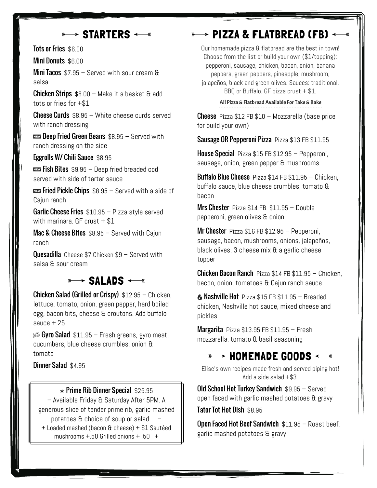# $\longrightarrow$  STARTERS  $\longleftarrow$

Tots or Fries \$6.00

Mini Donuts \$6.00

Mini Tacos \$7.95 – Served with sour cream & salsa

Chicken Strips \$8.00 – Make it a basket & add tots or fries for +\$1

**Cheese Curds**  $$8.95 - White cheese curds served$ with ranch dressing

 $\overline{\text{max}}$  Deep Fried Green Beans  $$8.95 -$  Served with ranch dressing on the side

Eggrolls W/ Chili Sauce \$8.95

 $\overline{\text{cm}}$  Fish Bites  $$9.95 -$  Deep fried breaded cod served with side of tartar sauce

 $\overline{\text{cos}}$  Fried Pickle Chips  $$8.95 -$  Served with a side of Cajun ranch

**Garlic Cheese Fries**  $$10.95 - P$ izza style served with marinara. GF crust  $+$  \$1

**Mac & Cheese Bites**  $$8.95 -$  Served with Cajun ranch

Quesadilla Cheese \$7 Chicken \$9 – Served with salsa & sour cream

### **SALADS**

Chicken Salad (Grilled or Crispy) \$12.95 – Chicken, lettuce, tomato, onion, green pepper, hard boiled egg, bacon bits, cheese & croutons. Add buffalo sauce  $+.25$ 

 $\frac{1}{200}$  Gyro Salad \$11.95 – Fresh greens, gyro meat, cucumbers, blue cheese crumbles, onion & tomato

Dinner Salad \$4.95

#### $\star$  Prime Rib Dinner Special \$25.95

– Available Friday & Saturday After 5PM. A generous slice of tender prime rib, garlic mashed potatoes & choice of soup or salad. – + Loaded mashed (bacon & cheese) + \$1 Sautéed mushrooms +.50 Grilled onions + .50 +

# $\rightarrow$  PIZZA & FLATBREAD (FB)  $\leftarrow$

Our homemade pizza & flatbread are the best in town! Choose from the list or build your own (\$1/topping): pepperoni, sausage, chicken, bacon, onion, banana peppers, green peppers, pineapple, mushroom, jalapeños, black and green olives. Sauces: traditional, BBQ or Buffalo. GF pizza crust  $+$  \$1.

**All Pizza & Flatbread Available For Take & Bake** 

**Cheese** Pizza  $$12$  FB  $$10$  – Mozzarella (base price for build your own)

Sausage OR Pepperoni Pizza Pizza \$13 FB \$11.95

House Special Pizza \$15 FB \$12.95 - Pepperoni, sausage, onion, green pepper & mushrooms

**Buffalo Blue Cheese** Pizza  $$14$  FB  $$11.95$  – Chicken, buffalo sauce, blue cheese crumbles, tomato & bacon

Mrs Chester Pizza \$14 FB \$11.95 - Double pepperoni, green olives & onion

**Mr Chester** Pizza  $$16$  FB  $$12.95$  – Pepperoni, sausage, bacon, mushrooms, onions, jalapeños, black olives, 3 cheese mix & a garlic cheese topper

Chicken Bacon Ranch Pizza \$14 FB \$11.95 - Chicken, bacon, onion, tomatoes & Cajun ranch sauce

 $\triangle$  Nashville Hot Pizza \$15 FB \$11.95 – Breaded chicken, Nashville hot sauce, mixed cheese and pickles

**Margarita** Pizza  $$13.95$  FB  $$11.95$  – Fresh mozzarella, tomato & basil seasoning

# $\ast\rightarrow$  HOMEMADE GOODS  $\leftarrow\ast$

Elise's own recipes made fresh and served piping hot! Add a side salad +\$3.

Old School Hot Turkey Sandwich \$9.95 – Served open faced with garlic mashed potatoes & gravy

Tator Tot Hot Dish \$8.95

Open Faced Hot Beef Sandwich \$11.95 - Roast beef, garlic mashed potatoes & gravy